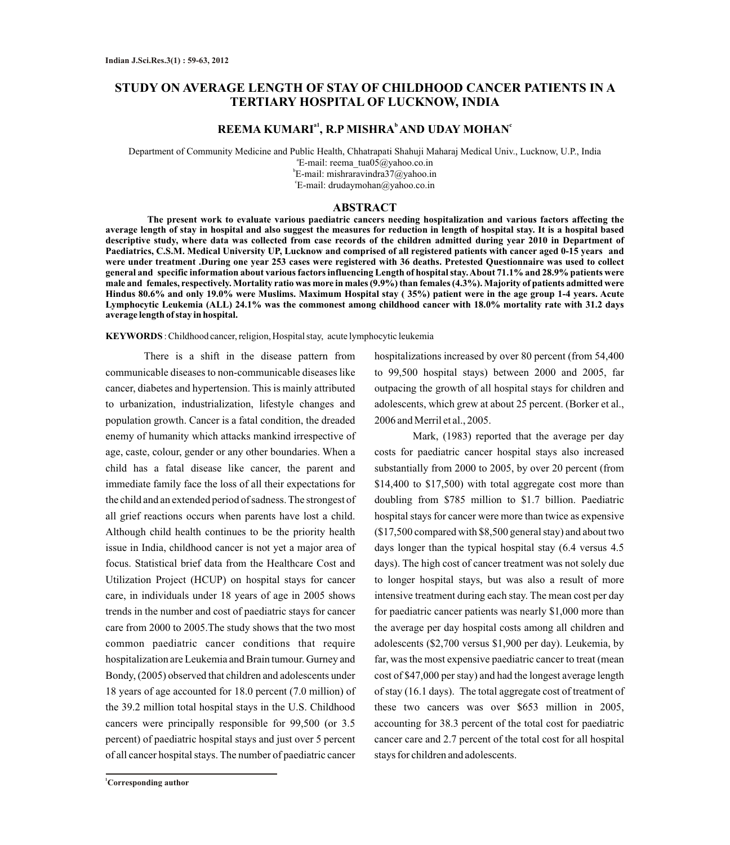# **STUDY ON AVERAGE LENGTH OF STAY OF CHILDHOOD CANCER PATIENTS IN A TERTIARY HOSPITAL OF LUCKNOW, INDIA**

## **a1 b c REEMA KUMARI , R.P MISHRA AND UDAY MOHAN**

Department of Community Medicine and Public Health, Chhatrapati Shahuji Maharaj Medical Univ., Lucknow, U.P., India a E-mail: reema\_tua05@yahoo.co.in b E-mail: mishraravindra37@yahoo.in c E-mail: drudaymohan@yahoo.co.in

### **ABSTRACT**

**The present work to evaluate various paediatric cancers needing hospitalization and various factors affecting the average length of stay in hospital and also suggest the measures for reduction in length of hospital stay. It is a hospital based descriptive study, where data was collected from case records of the children admitted during year 2010 in Department of Paediatrics, C.S.M. Medical University UP, Lucknow and comprised of all registered patients with cancer aged 0-15 years and were under treatment .During one year 253 cases were registered with 36 deaths. Pretested Questionnaire was used to collect general and specific information about various factors influencing Length of hospital stay. About 71.1% and 28.9% patients were male and females, respectively. Mortality ratio was more in males (9.9%) than females (4.3%). Majority of patients admitted were Hindus 80.6% and only 19.0% were Muslims. Maximum Hospital stay ( 35%) patient were in the age group 1-4 years. Acute Lymphocytic Leukemia (ALL) 24.1% was the commonest among childhood cancer with 18.0% mortality rate with 31.2 days average length of stay in hospital.** 

**KEYWORDS** : Childhood cancer, religion, Hospital stay, acute lymphocytic leukemia

There is a shift in the disease pattern from communicable diseases to non-communicable diseases like cancer, diabetes and hypertension. This is mainly attributed to urbanization, industrialization, lifestyle changes and population growth. Cancer is a fatal condition, the dreaded enemy of humanity which attacks mankind irrespective of age, caste, colour, gender or any other boundaries. When a child has a fatal disease like cancer, the parent and immediate family face the loss of all their expectations for the child and an extended period of sadness. The strongest of all grief reactions occurs when parents have lost a child. Although child health continues to be the priority health issue in India, childhood cancer is not yet a major area of focus. Statistical brief data from the Healthcare Cost and Utilization Project (HCUP) on hospital stays for cancer care, in individuals under 18 years of age in 2005 shows trends in the number and cost of paediatric stays for cancer care from 2000 to 2005.The study shows that the two most common paediatric cancer conditions that require hospitalization are Leukemia and Brain tumour. Gurney and Bondy, (2005) observed that children and adolescents under 18 years of age accounted for 18.0 percent (7.0 million) of the 39.2 million total hospital stays in the U.S. Childhood cancers were principally responsible for 99,500 (or 3.5 percent) of paediatric hospital stays and just over 5 percent of all cancer hospital stays. The number of paediatric cancer hospitalizations increased by over 80 percent (from 54,400 to 99,500 hospital stays) between 2000 and 2005, far outpacing the growth of all hospital stays for children and adolescents, which grew at about 25 percent. (Borker et al., 2006 and Merril et al., 2005.

Mark, (1983) reported that the average per day costs for paediatric cancer hospital stays also increased substantially from 2000 to 2005, by over 20 percent (from \$14,400 to \$17,500) with total aggregate cost more than doubling from \$785 million to \$1.7 billion. Paediatric hospital stays for cancer were more than twice as expensive (\$17,500 compared with \$8,500 general stay) and about two days longer than the typical hospital stay (6.4 versus 4.5 days). The high cost of cancer treatment was not solely due to longer hospital stays, but was also a result of more intensive treatment during each stay. The mean cost per day for paediatric cancer patients was nearly \$1,000 more than the average per day hospital costs among all children and adolescents (\$2,700 versus \$1,900 per day). Leukemia, by far, was the most expensive paediatric cancer to treat (mean cost of \$47,000 per stay) and had the longest average length of stay (16.1 days). The total aggregate cost of treatment of these two cancers was over \$653 million in 2005, accounting for 38.3 percent of the total cost for paediatric cancer care and 2.7 percent of the total cost for all hospital stays for children and adolescents.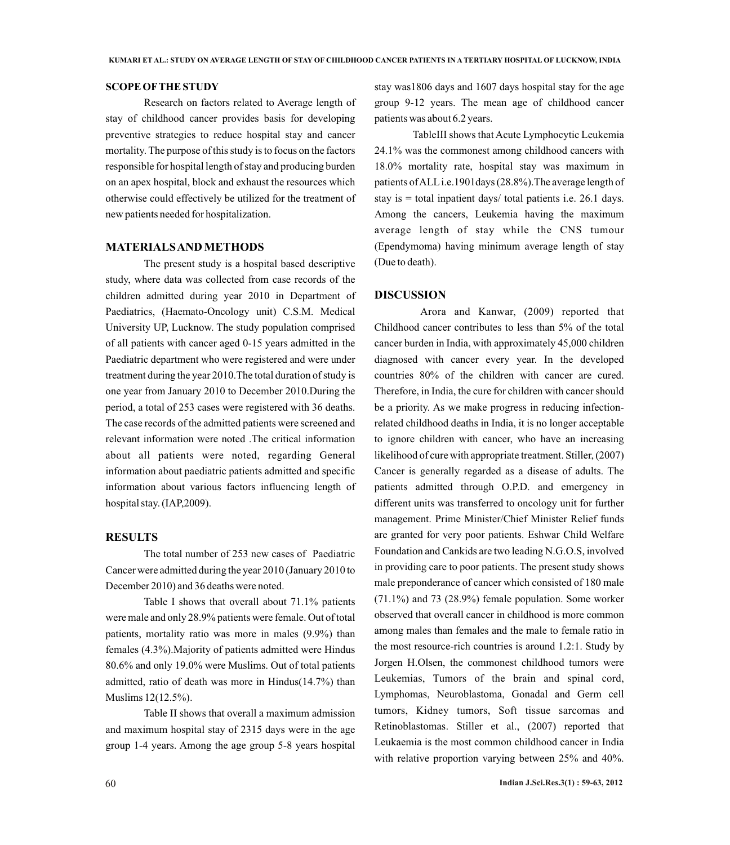#### **SCOPE OFTHE STUDY**

Research on factors related to Average length of stay of childhood cancer provides basis for developing preventive strategies to reduce hospital stay and cancer mortality. The purpose of this study is to focus on the factors responsible for hospital length of stay and producing burden on an apex hospital, block and exhaust the resources which otherwise could effectively be utilized for the treatment of new patients needed for hospitalization.

### **MATERIALS AND METHODS**

The present study is a hospital based descriptive study, where data was collected from case records of the children admitted during year 2010 in Department of Paediatrics, (Haemato-Oncology unit) C.S.M. Medical University UP, Lucknow. The study population comprised of all patients with cancer aged 0-15 years admitted in the Paediatric department who were registered and were under treatment during the year 2010.The total duration of study is one year from January 2010 to December 2010.During the period, a total of 253 cases were registered with 36 deaths. The case records of the admitted patients were screened and relevant information were noted .The critical information about all patients were noted, regarding General information about paediatric patients admitted and specific information about various factors influencing length of hospital stay. (IAP,2009).

## **RESULTS**

The total number of 253 new cases of Paediatric Cancer were admitted during the year 2010 (January 2010 to December 2010) and 36 deaths were noted.

Table I shows that overall about 71.1% patients were male and only 28.9% patients were female. Out of total patients, mortality ratio was more in males (9.9%) than females (4.3%).Majority of patients admitted were Hindus 80.6% and only 19.0% were Muslims. Out of total patients admitted, ratio of death was more in Hindus(14.7%) than Muslims 12(12.5%).

Table II shows that overall a maximum admission and maximum hospital stay of 2315 days were in the age group 1-4 years. Among the age group 5-8 years hospital

stay was1806 days and 1607 days hospital stay for the age group 9-12 years. The mean age of childhood cancer patients was about 6.2 years.

TableIII shows that Acute Lymphocytic Leukemia 24.1% was the commonest among childhood cancers with 18.0% mortality rate, hospital stay was maximum in patients of ALLi.e.1901days (28.8%).The average length of stay is = total inpatient days/ total patients i.e. 26.1 days. Among the cancers, Leukemia having the maximum average length of stay while the CNS tumour (Ependymoma) having minimum average length of stay (Due to death).

#### **DISCUSSION**

Arora and Kanwar, (2009) reported that Childhood cancer contributes to less than 5% of the total cancer burden in India, with approximately 45,000 children diagnosed with cancer every year. In the developed countries 80% of the children with cancer are cured. Therefore, in India, the cure for children with cancer should be a priority. As we make progress in reducing infectionrelated childhood deaths in India, it is no longer acceptable to ignore children with cancer, who have an increasing likelihood of cure with appropriate treatment. Stiller, (2007) Cancer is generally regarded as a disease of adults. The patients admitted through O.P.D. and emergency in different units was transferred to oncology unit for further management. Prime Minister/Chief Minister Relief funds are granted for very poor patients. Eshwar Child Welfare Foundation and Cankids are two leading N.G.O.S, involved in providing care to poor patients. The present study shows male preponderance of cancer which consisted of 180 male (71.1%) and 73 (28.9%) female population. Some worker observed that overall cancer in childhood is more common among males than females and the male to female ratio in the most resource-rich countries is around 1.2:1. Study by Jorgen H.Olsen, the commonest childhood tumors were Leukemias, Tumors of the brain and spinal cord, Lymphomas, Neuroblastoma, Gonadal and Germ cell tumors, Kidney tumors, Soft tissue sarcomas and Retinoblastomas. Stiller et al., (2007) reported that Leukaemia is the most common childhood cancer in India with relative proportion varying between 25% and 40%.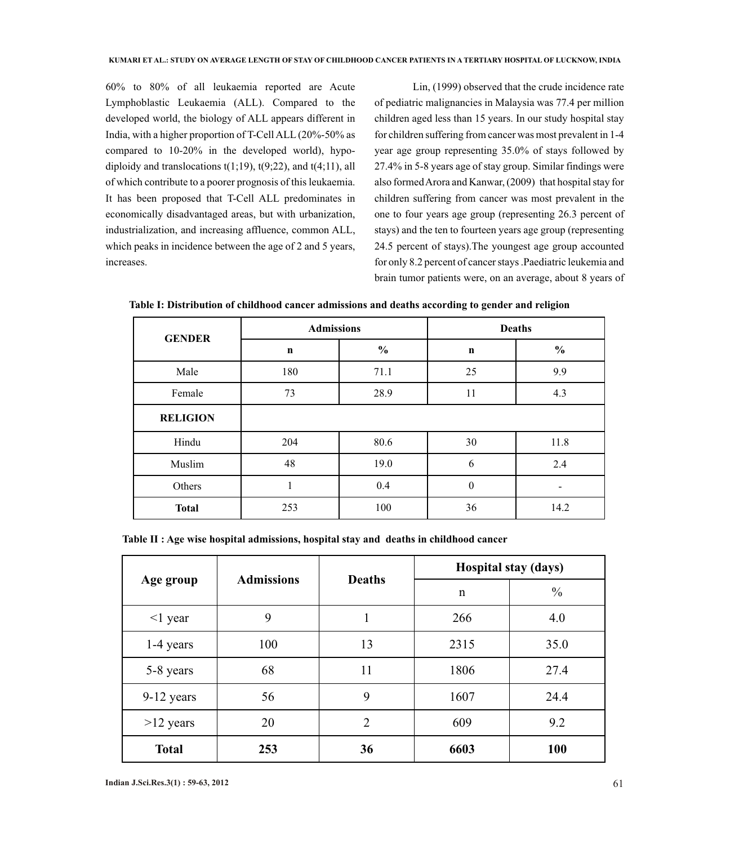60% to 80% of all leukaemia reported are Acute Lymphoblastic Leukaemia (ALL). Compared to the developed world, the biology of ALL appears different in India, with a higher proportion of T-Cell ALL (20%-50% as compared to 10-20% in the developed world), hypodiploidy and translocations  $t(1;19)$ ,  $t(9;22)$ , and  $t(4;11)$ , all of which contribute to a poorer prognosis of this leukaemia. It has been proposed that T-Cell ALL predominates in economically disadvantaged areas, but with urbanization, industrialization, and increasing affluence, common ALL, which peaks in incidence between the age of 2 and 5 years, increases.

Lin, (1999) observed that the crude incidence rate of pediatric malignancies in Malaysia was 77.4 per million children aged less than 15 years. In our study hospital stay for children suffering from cancer was most prevalent in 1-4 year age group representing 35.0% of stays followed by 27.4% in 5-8 years age of stay group. Similar findings were also formed Arora and Kanwar, (2009) that hospital stay for children suffering from cancer was most prevalent in the one to four years age group (representing 26.3 percent of stays) and the ten to fourteen years age group (representing 24.5 percent of stays).The youngest age group accounted for only 8.2 percent of cancer stays .Paediatric leukemia and brain tumor patients were, on an average, about 8 years of

**Table I: Distribution of childhood cancer admissions and deaths according to gender and religion**

| <b>GENDER</b>   | <b>Admissions</b> |               | <b>Deaths</b>    |               |
|-----------------|-------------------|---------------|------------------|---------------|
|                 | $\mathbf n$       | $\frac{0}{0}$ | $\mathbf n$      | $\frac{0}{0}$ |
| Male            | 180               | 71.1          | 25               | 9.9           |
| Female          | 73                | 28.9          | 11               | 4.3           |
| <b>RELIGION</b> |                   |               |                  |               |
| Hindu           | 204               | 80.6          | 30               | 11.8          |
| Muslim          | 48                | 19.0          | 6                | 2.4           |
| Others          |                   | 0.4           | $\boldsymbol{0}$ |               |
| <b>Total</b>    | 253               | 100           | 36               | 14.2          |

**Table II : Age wise hospital admissions, hospital stay and deaths in childhood cancer**

| Age group     | <b>Admissions</b> | <b>Deaths</b>  | Hospital stay (days) |               |  |
|---------------|-------------------|----------------|----------------------|---------------|--|
|               |                   |                | $\mathbf n$          | $\frac{0}{0}$ |  |
| $\leq$ 1 year | 9                 | 1              | 266                  | 4.0           |  |
| $1-4$ years   | 100               | 13             | 2315                 | 35.0          |  |
| 5-8 years     | 68                | 11             | 1806                 | 27.4          |  |
| 9-12 years    | 56                | 9              | 1607                 | 24.4          |  |
| $>12$ years   | 20                | $\overline{2}$ | 609                  | 9.2           |  |
| <b>Total</b>  | 253               | 36             | 6603                 | 100           |  |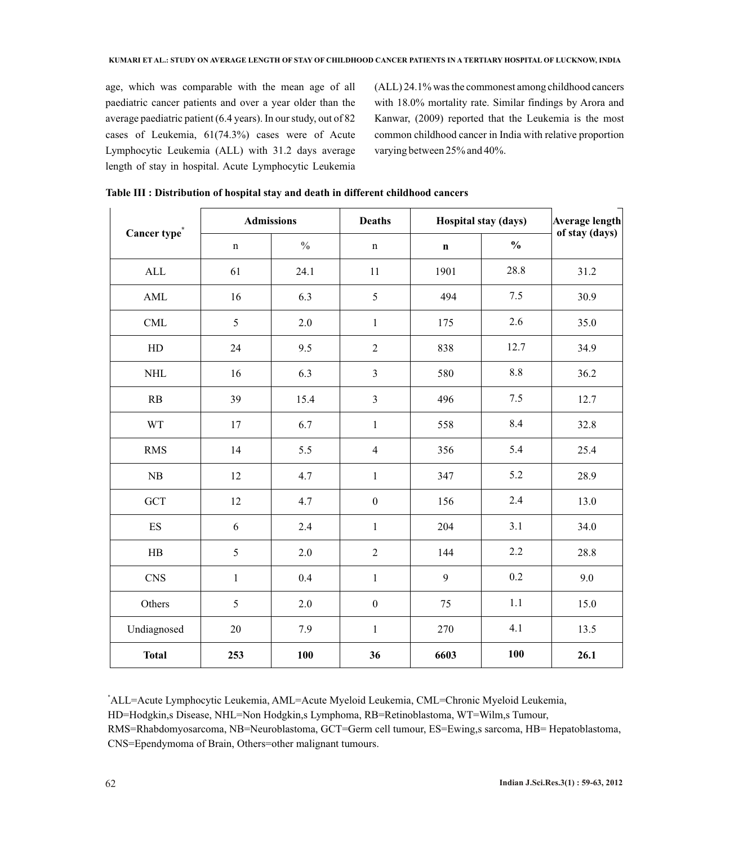age, which was comparable with the mean age of all paediatric cancer patients and over a year older than the average paediatric patient (6.4 years). In our study, out of 82 cases of Leukemia, 61(74.3%) cases were of Acute Lymphocytic Leukemia (ALL) with 31.2 days average length of stay in hospital. Acute Lymphocytic Leukemia

(ALL) 24.1% was the commonest among childhood cancers with 18.0% mortality rate. Similar findings by Arora and Kanwar, (2009) reported that the Leukemia is the most common childhood cancer in India with relative proportion varying between 25% and 40%.

| Cancer type <sup>*</sup> | <b>Admissions</b> |               | <b>Deaths</b>    | Hospital stay (days) |               | <b>Average length</b><br>of stay (days) |
|--------------------------|-------------------|---------------|------------------|----------------------|---------------|-----------------------------------------|
|                          | $\mathbf n$       | $\frac{0}{0}$ | $\mathbf n$      | $\mathbf n$          | $\frac{0}{0}$ |                                         |
| $\mbox{ALL}$             | 61                | 24.1          | 11               | 1901                 | 28.8          | 31.2                                    |
| AML                      | 16                | 6.3           | 5                | 494                  | 7.5           | 30.9                                    |
| CML                      | 5                 | 2.0           | $\,1$            | 175                  | 2.6           | 35.0                                    |
| ${\rm HD}$               | 24                | 9.5           | $\overline{2}$   | 838                  | 12.7          | 34.9                                    |
| $\rm NHL$                | 16                | 6.3           | $\mathfrak{Z}$   | 580                  | 8.8           | 36.2                                    |
| RB                       | 39                | 15.4          | $\mathfrak{Z}$   | 496                  | 7.5           | 12.7                                    |
| <b>WT</b>                | 17                | 6.7           | $\mathbf{1}$     | 558                  | 8.4           | 32.8                                    |
| <b>RMS</b>               | 14                | 5.5           | $\overline{4}$   | 356                  | 5.4           | 25.4                                    |
| ${\rm NB}$               | 12                | 4.7           | $\,1$            | 347                  | 5.2           | 28.9                                    |
| <b>GCT</b>               | 12                | 4.7           | $\boldsymbol{0}$ | 156                  | 2.4           | 13.0                                    |
| ES                       | $\sqrt{6}$        | 2.4           | $\,1$            | 204                  | 3.1           | 34.0                                    |
| HB                       | $\sqrt{5}$        | $2.0$         | $\sqrt{2}$       | 144                  | 2.2           | 28.8                                    |
| <b>CNS</b>               | $\mathbf{1}$      | 0.4           | $\mathbf{1}$     | 9                    | 0.2           | 9.0                                     |
| Others                   | 5                 | 2.0           | $\boldsymbol{0}$ | 75                   | 1.1           | 15.0                                    |
| Undiagnosed              | 20                | 7.9           | $\mathbf{1}$     | 270                  | 4.1           | 13.5                                    |
| <b>Total</b>             | 253               | 100           | 36               | 6603                 | 100           | 26.1                                    |

**Table III : Distribution of hospital stay and death in different childhood cancers**

\*ALL=Acute Lymphocytic Leukemia, AML=Acute Myeloid Leukemia, CML=Chronic Myeloid Leukemia, HD=Hodgkin,s Disease, NHL=Non Hodgkin,s Lymphoma, RB=Retinoblastoma, WT=Wilm,s Tumour,

RMS=Rhabdomyosarcoma, NB=Neuroblastoma, GCT=Germ cell tumour, ES=Ewing,s sarcoma, HB= Hepatoblastoma, CNS=Ependymoma of Brain, Others=other malignant tumours.